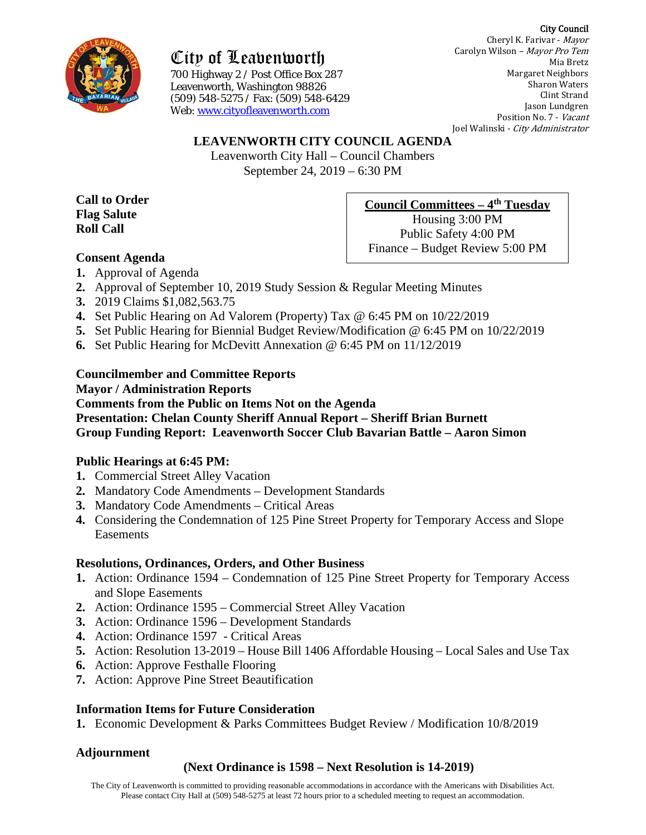#### City Council



City of Leavenworth

700 Highway 2 / Post Office Box 287 Leavenworth, Washington 98826 (509) 548-5275 / Fax: (509) 548-6429 Web: [www.cityofleavenworth.com](http://www.cityofleavenworth.com/)

Cheryl K. Farivar - Mayor Carolyn Wilson – Mayor Pro Tem Mia Bretz Margaret Neighbors Sharon Waters Clint Strand Jason Lundgren Position No. 7 - Vacant Joel Walinski - City Administrator

## **LEAVENWORTH CITY COUNCIL AGENDA**

Leavenworth City Hall – Council Chambers September 24, 2019 – 6:30 PM

**Call to Order Flag Salute Roll Call**

## **Council Committees – 4th Tuesday**

Housing 3:00 PM Public Safety 4:00 PM Finance – Budget Review 5:00 PM

- **Consent Agenda**
- **1.** Approval of Agenda
- **2.** Approval of September 10, 2019 Study Session & Regular Meeting Minutes
- **3.** 2019 Claims \$1,082,563.75
- **4.** Set Public Hearing on Ad Valorem (Property) Tax @ 6:45 PM on 10/22/2019
- **5.** Set Public Hearing for Biennial Budget Review/Modification @ 6:45 PM on 10/22/2019
- **6.** Set Public Hearing for McDevitt Annexation @ 6:45 PM on 11/12/2019

## **Councilmember and Committee Reports**

**Mayor / Administration Reports Comments from the Public on Items Not on the Agenda Presentation: Chelan County Sheriff Annual Report – Sheriff Brian Burnett Group Funding Report: Leavenworth Soccer Club Bavarian Battle – Aaron Simon**

## **Public Hearings at 6:45 PM:**

- **1.** Commercial Street Alley Vacation
- **2.** Mandatory Code Amendments Development Standards
- **3.** Mandatory Code Amendments Critical Areas
- **4.** Considering the Condemnation of 125 Pine Street Property for Temporary Access and Slope Easements

## **Resolutions, Ordinances, Orders, and Other Business**

- **1.** Action: Ordinance 1594 Condemnation of 125 Pine Street Property for Temporary Access and Slope Easements
- **2.** Action: Ordinance 1595 Commercial Street Alley Vacation
- **3.** Action: Ordinance 1596 Development Standards
- **4.** Action: Ordinance 1597 Critical Areas
- **5.** Action: Resolution 13-2019 House Bill 1406 Affordable Housing Local Sales and Use Tax
- **6.** Action: Approve Festhalle Flooring
- **7.** Action: Approve Pine Street Beautification

# **Information Items for Future Consideration**

**1.** Economic Development & Parks Committees Budget Review / Modification 10/8/2019

# **Adjournment**

# **(Next Ordinance is 1598 – Next Resolution is 14-2019)**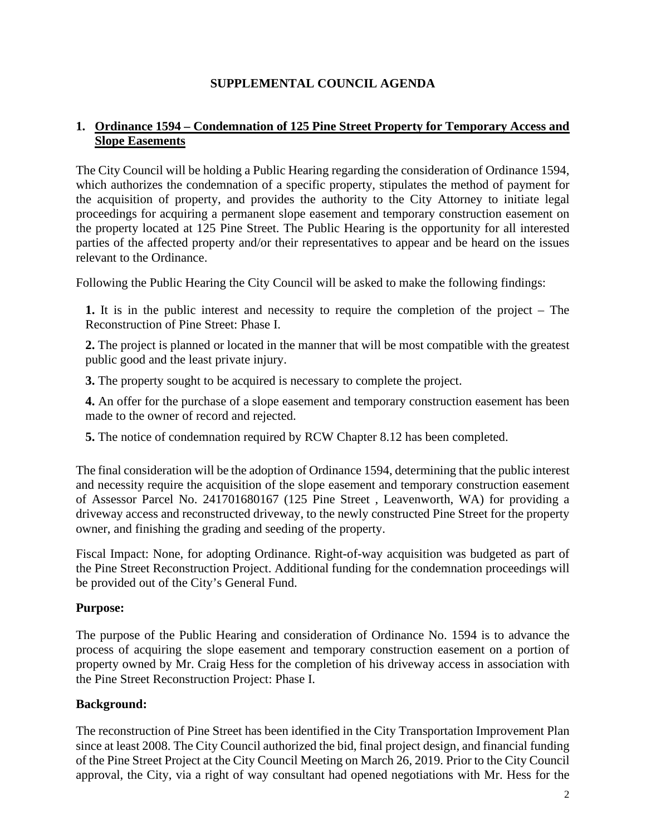# **SUPPLEMENTAL COUNCIL AGENDA**

## **1. Ordinance 1594 – Condemnation of 125 Pine Street Property for Temporary Access and Slope Easements**

The City Council will be holding a Public Hearing regarding the consideration of Ordinance 1594, which authorizes the condemnation of a specific property, stipulates the method of payment for the acquisition of property, and provides the authority to the City Attorney to initiate legal proceedings for acquiring a permanent slope easement and temporary construction easement on the property located at 125 Pine Street. The Public Hearing is the opportunity for all interested parties of the affected property and/or their representatives to appear and be heard on the issues relevant to the Ordinance.

Following the Public Hearing the City Council will be asked to make the following findings:

**1.** It is in the public interest and necessity to require the completion of the project – The Reconstruction of Pine Street: Phase I.

**2.** The project is planned or located in the manner that will be most compatible with the greatest public good and the least private injury.

**3.** The property sought to be acquired is necessary to complete the project.

**4.** An offer for the purchase of a slope easement and temporary construction easement has been made to the owner of record and rejected.

**5.** The notice of condemnation required by RCW Chapter 8.12 has been completed.

The final consideration will be the adoption of Ordinance 1594, determining that the public interest and necessity require the acquisition of the slope easement and temporary construction easement of Assessor Parcel No. 241701680167 (125 Pine Street , Leavenworth, WA) for providing a driveway access and reconstructed driveway, to the newly constructed Pine Street for the property owner, and finishing the grading and seeding of the property.

Fiscal Impact: None, for adopting Ordinance. Right-of-way acquisition was budgeted as part of the Pine Street Reconstruction Project. Additional funding for the condemnation proceedings will be provided out of the City's General Fund.

## **Purpose:**

The purpose of the Public Hearing and consideration of Ordinance No. 1594 is to advance the process of acquiring the slope easement and temporary construction easement on a portion of property owned by Mr. Craig Hess for the completion of his driveway access in association with the Pine Street Reconstruction Project: Phase I.

## **Background:**

The reconstruction of Pine Street has been identified in the City Transportation Improvement Plan since at least 2008. The City Council authorized the bid, final project design, and financial funding of the Pine Street Project at the City Council Meeting on March 26, 2019. Prior to the City Council approval, the City, via a right of way consultant had opened negotiations with Mr. Hess for the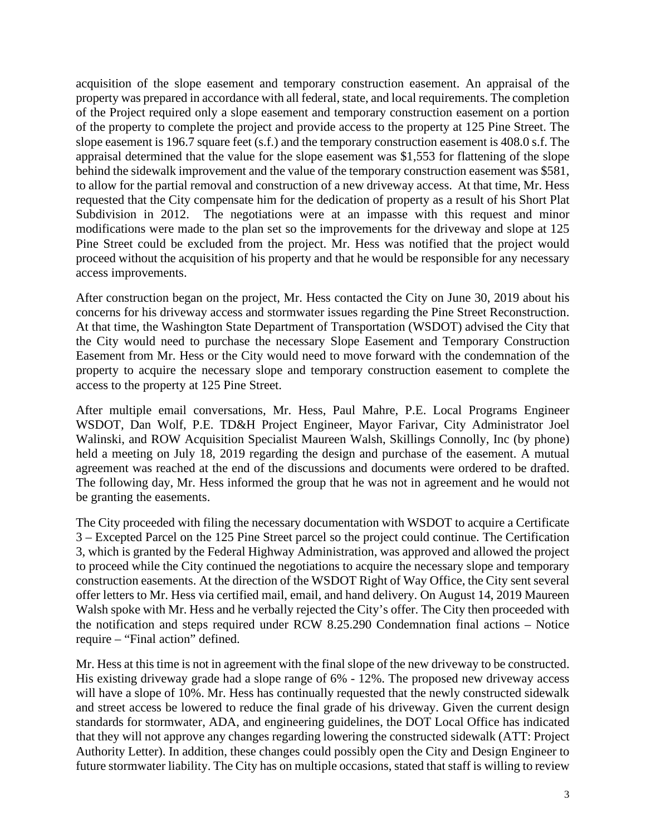acquisition of the slope easement and temporary construction easement. An appraisal of the property was prepared in accordance with all federal, state, and local requirements. The completion of the Project required only a slope easement and temporary construction easement on a portion of the property to complete the project and provide access to the property at 125 Pine Street. The slope easement is 196.7 square feet (s.f.) and the temporary construction easement is 408.0 s.f. The appraisal determined that the value for the slope easement was \$1,553 for flattening of the slope behind the sidewalk improvement and the value of the temporary construction easement was \$581, to allow for the partial removal and construction of a new driveway access. At that time, Mr. Hess requested that the City compensate him for the dedication of property as a result of his Short Plat Subdivision in 2012. The negotiations were at an impasse with this request and minor modifications were made to the plan set so the improvements for the driveway and slope at 125 Pine Street could be excluded from the project. Mr. Hess was notified that the project would proceed without the acquisition of his property and that he would be responsible for any necessary access improvements.

After construction began on the project, Mr. Hess contacted the City on June 30, 2019 about his concerns for his driveway access and stormwater issues regarding the Pine Street Reconstruction. At that time, the Washington State Department of Transportation (WSDOT) advised the City that the City would need to purchase the necessary Slope Easement and Temporary Construction Easement from Mr. Hess or the City would need to move forward with the condemnation of the property to acquire the necessary slope and temporary construction easement to complete the access to the property at 125 Pine Street.

After multiple email conversations, Mr. Hess, Paul Mahre, P.E. Local Programs Engineer WSDOT, Dan Wolf, P.E. TD&H Project Engineer, Mayor Farivar, City Administrator Joel Walinski, and ROW Acquisition Specialist Maureen Walsh, Skillings Connolly, Inc (by phone) held a meeting on July 18, 2019 regarding the design and purchase of the easement. A mutual agreement was reached at the end of the discussions and documents were ordered to be drafted. The following day, Mr. Hess informed the group that he was not in agreement and he would not be granting the easements.

The City proceeded with filing the necessary documentation with WSDOT to acquire a Certificate 3 – Excepted Parcel on the 125 Pine Street parcel so the project could continue. The Certification 3, which is granted by the Federal Highway Administration, was approved and allowed the project to proceed while the City continued the negotiations to acquire the necessary slope and temporary construction easements. At the direction of the WSDOT Right of Way Office, the City sent several offer letters to Mr. Hess via certified mail, email, and hand delivery. On August 14, 2019 Maureen Walsh spoke with Mr. Hess and he verbally rejected the City's offer. The City then proceeded with the notification and steps required under RCW 8.25.290 Condemnation final actions – Notice require – "Final action" defined.

Mr. Hess at this time is not in agreement with the final slope of the new driveway to be constructed. His existing driveway grade had a slope range of 6% - 12%. The proposed new driveway access will have a slope of 10%. Mr. Hess has continually requested that the newly constructed sidewalk and street access be lowered to reduce the final grade of his driveway. Given the current design standards for stormwater, ADA, and engineering guidelines, the DOT Local Office has indicated that they will not approve any changes regarding lowering the constructed sidewalk (ATT: Project Authority Letter). In addition, these changes could possibly open the City and Design Engineer to future stormwater liability. The City has on multiple occasions, stated that staff is willing to review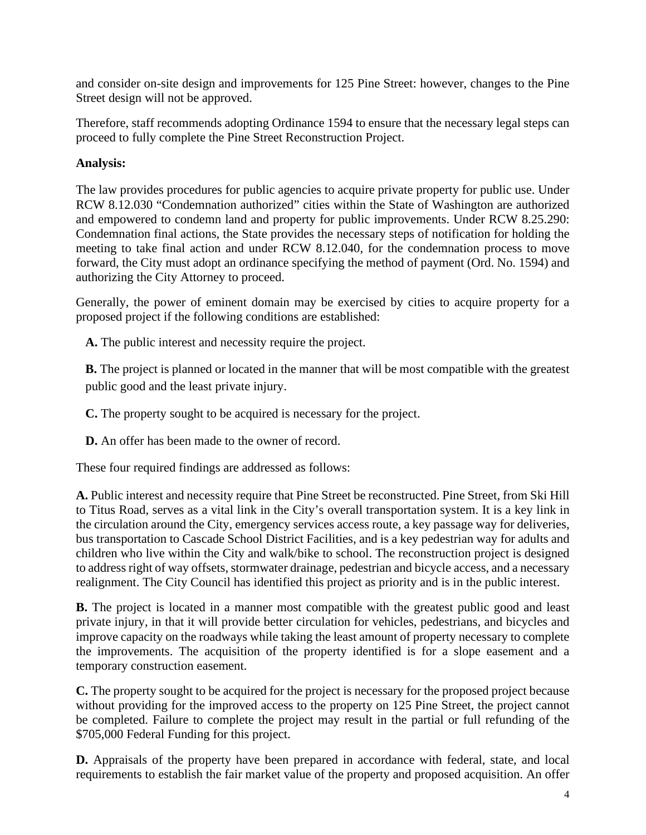and consider on-site design and improvements for 125 Pine Street: however, changes to the Pine Street design will not be approved.

Therefore, staff recommends adopting Ordinance 1594 to ensure that the necessary legal steps can proceed to fully complete the Pine Street Reconstruction Project.

## **Analysis:**

The law provides procedures for public agencies to acquire private property for public use. Under RCW 8.12.030 "Condemnation authorized" cities within the State of Washington are authorized and empowered to condemn land and property for public improvements. Under RCW 8.25.290: Condemnation final actions, the State provides the necessary steps of notification for holding the meeting to take final action and under RCW 8.12.040, for the condemnation process to move forward, the City must adopt an ordinance specifying the method of payment (Ord. No. 1594) and authorizing the City Attorney to proceed.

Generally, the power of eminent domain may be exercised by cities to acquire property for a proposed project if the following conditions are established:

**A.** The public interest and necessity require the project.

**B.** The project is planned or located in the manner that will be most compatible with the greatest public good and the least private injury.

**C.** The property sought to be acquired is necessary for the project.

**D.** An offer has been made to the owner of record.

These four required findings are addressed as follows:

**A.** Public interest and necessity require that Pine Street be reconstructed. Pine Street, from Ski Hill to Titus Road, serves as a vital link in the City's overall transportation system. It is a key link in the circulation around the City, emergency services access route, a key passage way for deliveries, bus transportation to Cascade School District Facilities, and is a key pedestrian way for adults and children who live within the City and walk/bike to school. The reconstruction project is designed to address right of way offsets, stormwater drainage, pedestrian and bicycle access, and a necessary realignment. The City Council has identified this project as priority and is in the public interest.

**B.** The project is located in a manner most compatible with the greatest public good and least private injury, in that it will provide better circulation for vehicles, pedestrians, and bicycles and improve capacity on the roadways while taking the least amount of property necessary to complete the improvements. The acquisition of the property identified is for a slope easement and a temporary construction easement.

**C.** The property sought to be acquired for the project is necessary for the proposed project because without providing for the improved access to the property on 125 Pine Street, the project cannot be completed. Failure to complete the project may result in the partial or full refunding of the \$705,000 Federal Funding for this project.

**D.** Appraisals of the property have been prepared in accordance with federal, state, and local requirements to establish the fair market value of the property and proposed acquisition. An offer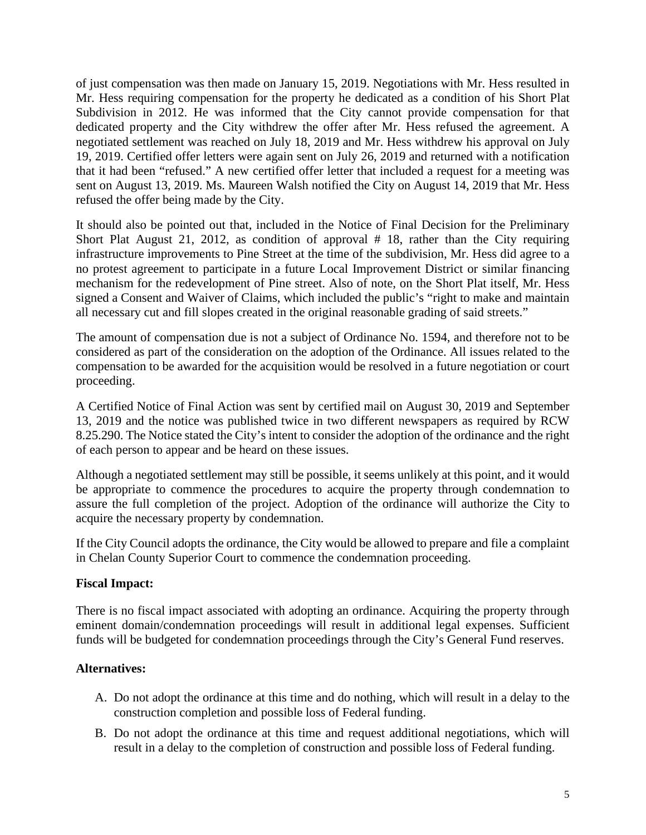of just compensation was then made on January 15, 2019. Negotiations with Mr. Hess resulted in Mr. Hess requiring compensation for the property he dedicated as a condition of his Short Plat Subdivision in 2012. He was informed that the City cannot provide compensation for that dedicated property and the City withdrew the offer after Mr. Hess refused the agreement. A negotiated settlement was reached on July 18, 2019 and Mr. Hess withdrew his approval on July 19, 2019. Certified offer letters were again sent on July 26, 2019 and returned with a notification that it had been "refused." A new certified offer letter that included a request for a meeting was sent on August 13, 2019. Ms. Maureen Walsh notified the City on August 14, 2019 that Mr. Hess refused the offer being made by the City.

It should also be pointed out that, included in the Notice of Final Decision for the Preliminary Short Plat August 21, 2012, as condition of approval # 18, rather than the City requiring infrastructure improvements to Pine Street at the time of the subdivision, Mr. Hess did agree to a no protest agreement to participate in a future Local Improvement District or similar financing mechanism for the redevelopment of Pine street. Also of note, on the Short Plat itself, Mr. Hess signed a Consent and Waiver of Claims, which included the public's "right to make and maintain all necessary cut and fill slopes created in the original reasonable grading of said streets."

The amount of compensation due is not a subject of Ordinance No. 1594, and therefore not to be considered as part of the consideration on the adoption of the Ordinance. All issues related to the compensation to be awarded for the acquisition would be resolved in a future negotiation or court proceeding.

A Certified Notice of Final Action was sent by certified mail on August 30, 2019 and September 13, 2019 and the notice was published twice in two different newspapers as required by RCW 8.25.290. The Notice stated the City's intent to consider the adoption of the ordinance and the right of each person to appear and be heard on these issues.

Although a negotiated settlement may still be possible, it seems unlikely at this point, and it would be appropriate to commence the procedures to acquire the property through condemnation to assure the full completion of the project. Adoption of the ordinance will authorize the City to acquire the necessary property by condemnation.

If the City Council adopts the ordinance, the City would be allowed to prepare and file a complaint in Chelan County Superior Court to commence the condemnation proceeding.

## **Fiscal Impact:**

There is no fiscal impact associated with adopting an ordinance. Acquiring the property through eminent domain/condemnation proceedings will result in additional legal expenses. Sufficient funds will be budgeted for condemnation proceedings through the City's General Fund reserves.

## **Alternatives:**

- A. Do not adopt the ordinance at this time and do nothing, which will result in a delay to the construction completion and possible loss of Federal funding.
- B. Do not adopt the ordinance at this time and request additional negotiations, which will result in a delay to the completion of construction and possible loss of Federal funding.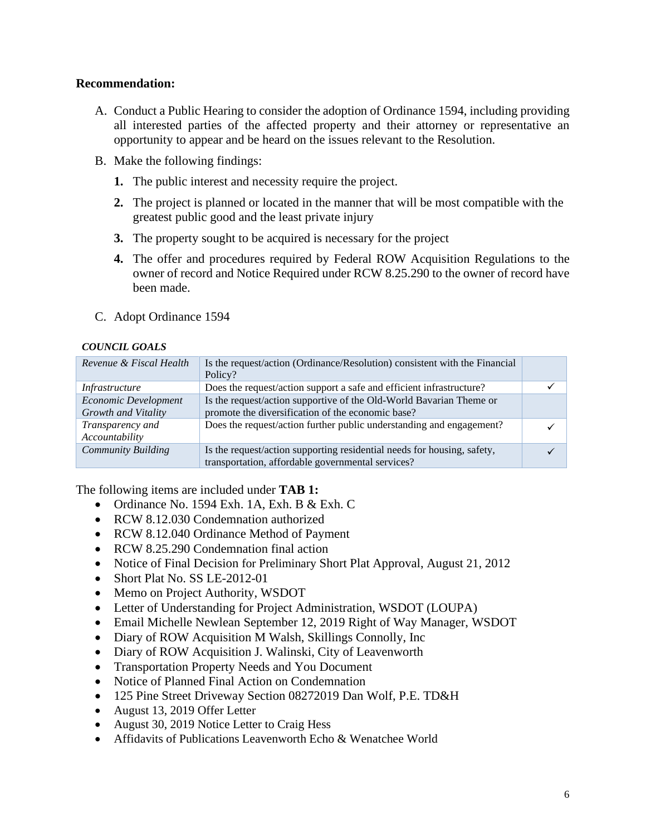### **Recommendation:**

- A. Conduct a Public Hearing to consider the adoption of Ordinance 1594, including providing all interested parties of the affected property and their attorney or representative an opportunity to appear and be heard on the issues relevant to the Resolution.
- B. Make the following findings:
	- **1.** The public interest and necessity require the project.
	- **2.** The project is planned or located in the manner that will be most compatible with the greatest public good and the least private injury
	- **3.** The property sought to be acquired is necessary for the project
	- **4.** The offer and procedures required by Federal ROW Acquisition Regulations to the owner of record and Notice Required under RCW 8.25.290 to the owner of record have been made.
- C. Adopt Ordinance 1594

### *COUNCIL GOALS*

| Revenue & Fiscal Health                     | Is the request/action (Ordinance/Resolution) consistent with the Financial<br>Policy?                                        |  |
|---------------------------------------------|------------------------------------------------------------------------------------------------------------------------------|--|
| <i>Infrastructure</i>                       | Does the request/action support a safe and efficient infrastructure?                                                         |  |
| Economic Development<br>Growth and Vitality | Is the request/action supportive of the Old-World Bavarian Theme or<br>promote the diversification of the economic base?     |  |
| Transparency and<br>Accountability          | Does the request/action further public understanding and engagement?                                                         |  |
| Community Building                          | Is the request/action supporting residential needs for housing, safety,<br>transportation, affordable governmental services? |  |

The following items are included under **TAB 1:**

- Ordinance No. 1594 Exh. 1A, Exh. B & Exh. C
- RCW 8.12.030 Condemnation authorized
- RCW 8.12.040 Ordinance Method of Payment
- RCW 8.25.290 Condemnation final action
- Notice of Final Decision for Preliminary Short Plat Approval, August 21, 2012
- Short Plat No. SS LE-2012-01
- Memo on Project Authority, WSDOT
- Letter of Understanding for Project Administration, WSDOT (LOUPA)
- Email Michelle Newlean September 12, 2019 Right of Way Manager, WSDOT
- Diary of ROW Acquisition M Walsh, Skillings Connolly, Inc.
- Diary of ROW Acquisition J. Walinski, City of Leavenworth
- Transportation Property Needs and You Document
- Notice of Planned Final Action on Condemnation
- 125 Pine Street Driveway Section 08272019 Dan Wolf, P.E. TD&H
- August 13, 2019 Offer Letter
- August 30, 2019 Notice Letter to Craig Hess
- Affidavits of Publications Leavenworth Echo & Wenatchee World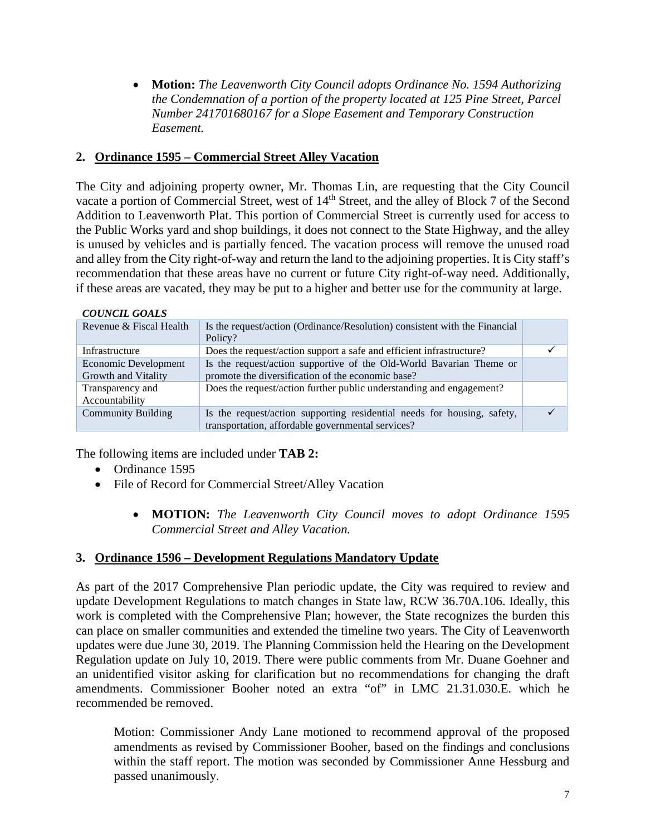• **Motion:** *The Leavenworth City Council adopts Ordinance No. 1594 Authorizing the Condemnation of a portion of the property located at 125 Pine Street, Parcel Number 241701680167 for a Slope Easement and Temporary Construction Easement.*

## **2. Ordinance 1595 – Commercial Street Alley Vacation**

The City and adjoining property owner, Mr. Thomas Lin, are requesting that the City Council vacate a portion of Commercial Street, west of 14<sup>th</sup> Street, and the alley of Block 7 of the Second Addition to Leavenworth Plat. This portion of Commercial Street is currently used for access to the Public Works yard and shop buildings, it does not connect to the State Highway, and the alley is unused by vehicles and is partially fenced. The vacation process will remove the unused road and alley from the City right-of-way and return the land to the adjoining properties. It is City staff's recommendation that these areas have no current or future City right-of-way need. Additionally, if these areas are vacated, they may be put to a higher and better use for the community at large.

#### *COUNCIL GOALS*

| Revenue & Fiscal Health                     | Is the request/action (Ordinance/Resolution) consistent with the Financial<br>Policy?                                        |  |
|---------------------------------------------|------------------------------------------------------------------------------------------------------------------------------|--|
| Infrastructure                              | Does the request/action support a safe and efficient infrastructure?                                                         |  |
| Economic Development<br>Growth and Vitality | Is the request/action supportive of the Old-World Bavarian Theme or<br>promote the diversification of the economic base?     |  |
| Transparency and<br>Accountability          | Does the request/action further public understanding and engagement?                                                         |  |
| <b>Community Building</b>                   | Is the request/action supporting residential needs for housing, safety,<br>transportation, affordable governmental services? |  |

The following items are included under **TAB 2:**

- Ordinance 1595
- File of Record for Commercial Street/Alley Vacation
	- **MOTION:** *The Leavenworth City Council moves to adopt Ordinance 1595 Commercial Street and Alley Vacation.*

## **3. Ordinance 1596 – Development Regulations Mandatory Update**

As part of the 2017 Comprehensive Plan periodic update, the City was required to review and update Development Regulations to match changes in State law, RCW 36.70A.106. Ideally, this work is completed with the Comprehensive Plan; however, the State recognizes the burden this can place on smaller communities and extended the timeline two years. The City of Leavenworth updates were due June 30, 2019. The Planning Commission held the Hearing on the Development Regulation update on July 10, 2019. There were public comments from Mr. Duane Goehner and an unidentified visitor asking for clarification but no recommendations for changing the draft amendments. Commissioner Booher noted an extra "of" in LMC 21.31.030.E. which he recommended be removed.

Motion: Commissioner Andy Lane motioned to recommend approval of the proposed amendments as revised by Commissioner Booher, based on the findings and conclusions within the staff report. The motion was seconded by Commissioner Anne Hessburg and passed unanimously.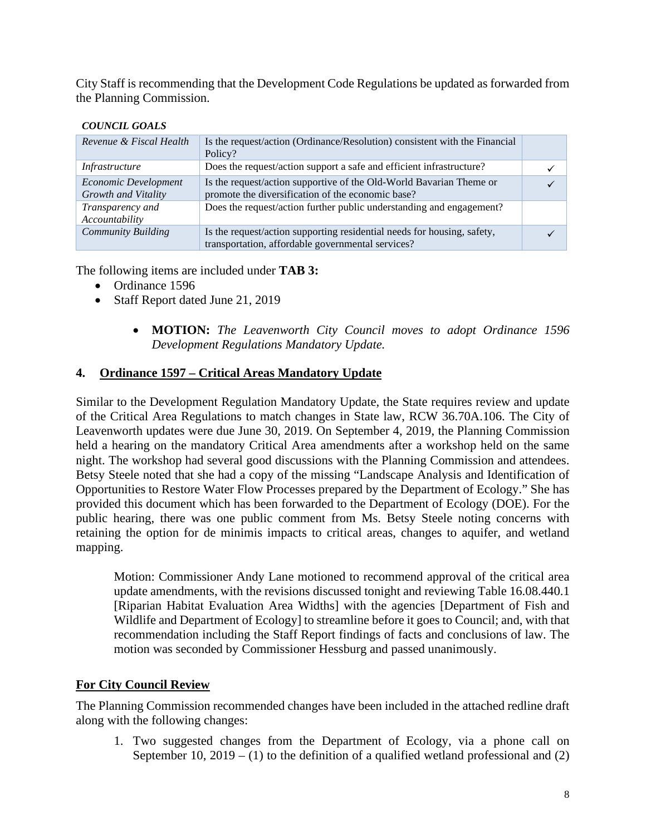City Staff is recommending that the Development Code Regulations be updated as forwarded from the Planning Commission.

#### *COUNCIL GOALS*

| Revenue & Fiscal Health                     | Is the request/action (Ordinance/Resolution) consistent with the Financial<br>Policy?                                        |  |
|---------------------------------------------|------------------------------------------------------------------------------------------------------------------------------|--|
| Infrastructure                              | Does the request/action support a safe and efficient infrastructure?                                                         |  |
| Economic Development<br>Growth and Vitality | Is the request/action supportive of the Old-World Bavarian Theme or<br>promote the diversification of the economic base?     |  |
| Transparency and<br>Accountability          | Does the request/action further public understanding and engagement?                                                         |  |
| <b>Community Building</b>                   | Is the request/action supporting residential needs for housing, safety,<br>transportation, affordable governmental services? |  |

The following items are included under **TAB 3:**

- Ordinance 1596
- Staff Report dated June 21, 2019
	- **MOTION:** *The Leavenworth City Council moves to adopt Ordinance 1596 Development Regulations Mandatory Update.*

## **4. Ordinance 1597 – Critical Areas Mandatory Update**

Similar to the Development Regulation Mandatory Update, the State requires review and update of the Critical Area Regulations to match changes in State law, RCW 36.70A.106. The City of Leavenworth updates were due June 30, 2019. On September 4, 2019, the Planning Commission held a hearing on the mandatory Critical Area amendments after a workshop held on the same night. The workshop had several good discussions with the Planning Commission and attendees. Betsy Steele noted that she had a copy of the missing "Landscape Analysis and Identification of Opportunities to Restore Water Flow Processes prepared by the Department of Ecology." She has provided this document which has been forwarded to the Department of Ecology (DOE). For the public hearing, there was one public comment from Ms. Betsy Steele noting concerns with retaining the option for de minimis impacts to critical areas, changes to aquifer, and wetland mapping.

Motion: Commissioner Andy Lane motioned to recommend approval of the critical area update amendments, with the revisions discussed tonight and reviewing Table 16.08.440.1 [Riparian Habitat Evaluation Area Widths] with the agencies [Department of Fish and Wildlife and Department of Ecology] to streamline before it goes to Council; and, with that recommendation including the Staff Report findings of facts and conclusions of law. The motion was seconded by Commissioner Hessburg and passed unanimously.

## **For City Council Review**

The Planning Commission recommended changes have been included in the attached redline draft along with the following changes:

1. Two suggested changes from the Department of Ecology, via a phone call on September 10, 2019 – (1) to the definition of a qualified wetland professional and (2)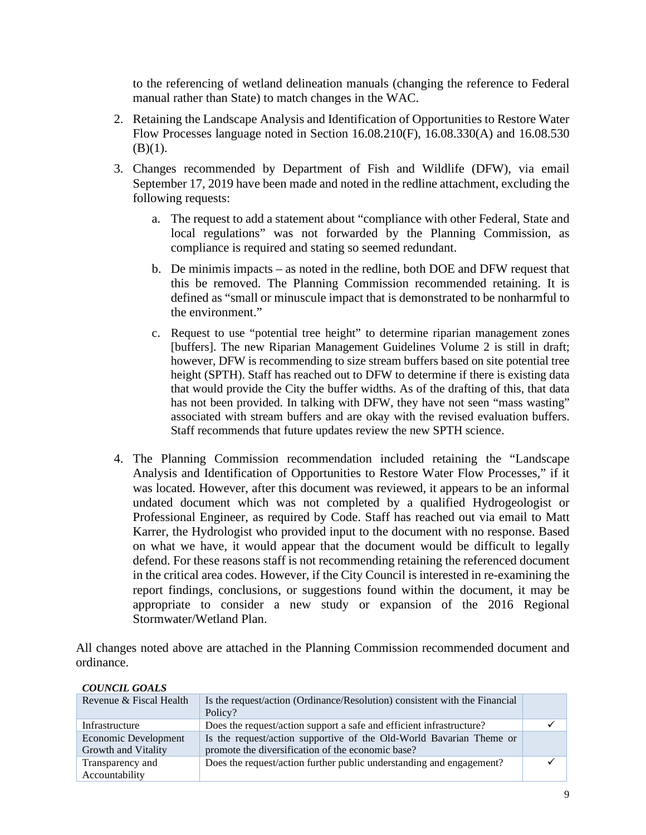to the referencing of wetland delineation manuals (changing the reference to Federal manual rather than State) to match changes in the WAC.

- 2. Retaining the Landscape Analysis and Identification of Opportunities to Restore Water Flow Processes language noted in Section 16.08.210(F), 16.08.330(A) and 16.08.530  $(B)(1)$ .
- 3. Changes recommended by Department of Fish and Wildlife (DFW), via email September 17, 2019 have been made and noted in the redline attachment, excluding the following requests:
	- a. The request to add a statement about "compliance with other Federal, State and local regulations" was not forwarded by the Planning Commission, as compliance is required and stating so seemed redundant.
	- b. De minimis impacts as noted in the redline, both DOE and DFW request that this be removed. The Planning Commission recommended retaining. It is defined as "small or minuscule impact that is demonstrated to be nonharmful to the environment."
	- c. Request to use "potential tree height" to determine riparian management zones [buffers]. The new Riparian Management Guidelines Volume 2 is still in draft; however, DFW is recommending to size stream buffers based on site potential tree height (SPTH). Staff has reached out to DFW to determine if there is existing data that would provide the City the buffer widths. As of the drafting of this, that data has not been provided. In talking with DFW, they have not seen "mass wasting" associated with stream buffers and are okay with the revised evaluation buffers. Staff recommends that future updates review the new SPTH science.
- 4. The Planning Commission recommendation included retaining the "Landscape Analysis and Identification of Opportunities to Restore Water Flow Processes," if it was located. However, after this document was reviewed, it appears to be an informal undated document which was not completed by a qualified Hydrogeologist or Professional Engineer, as required by Code. Staff has reached out via email to Matt Karrer, the Hydrologist who provided input to the document with no response. Based on what we have, it would appear that the document would be difficult to legally defend. For these reasons staff is not recommending retaining the referenced document in the critical area codes. However, if the City Council is interested in re-examining the report findings, conclusions, or suggestions found within the document, it may be appropriate to consider a new study or expansion of the 2016 Regional Stormwater/Wetland Plan.

All changes noted above are attached in the Planning Commission recommended document and ordinance.

| Revenue & Fiscal Health                     | Is the request/action (Ordinance/Resolution) consistent with the Financial<br>Policy?                                    |  |
|---------------------------------------------|--------------------------------------------------------------------------------------------------------------------------|--|
| Infrastructure                              | Does the request/action support a safe and efficient infrastructure?                                                     |  |
| Economic Development<br>Growth and Vitality | Is the request/action supportive of the Old-World Bavarian Theme or<br>promote the diversification of the economic base? |  |
| Transparency and<br>Accountability          | Does the request/action further public understanding and engagement?                                                     |  |

### *COUNCIL GOALS*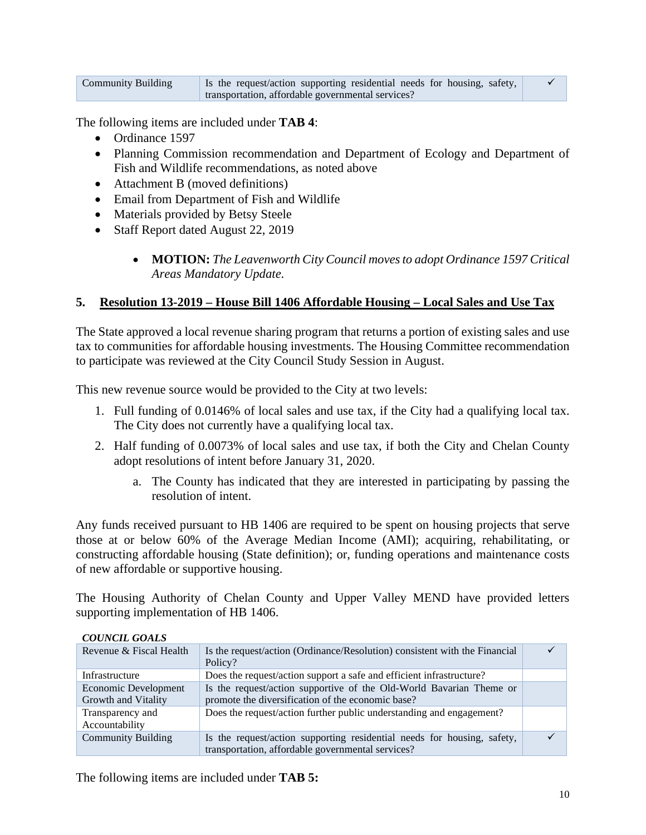| <b>Community Building</b> | Is the request/action supporting residential needs for housing, safety, |  |
|---------------------------|-------------------------------------------------------------------------|--|
|                           | transportation, affordable governmental services?                       |  |

The following items are included under **TAB 4**:

- Ordinance 1597
- Planning Commission recommendation and Department of Ecology and Department of Fish and Wildlife recommendations, as noted above
- Attachment B (moved definitions)
- Email from Department of Fish and Wildlife
- Materials provided by Betsy Steele
- Staff Report dated August 22, 2019
	- **MOTION:** *The Leavenworth City Council moves to adopt Ordinance 1597 Critical Areas Mandatory Update.*

## **5. Resolution 13-2019 – House Bill 1406 Affordable Housing – Local Sales and Use Tax**

The State approved a local revenue sharing program that returns a portion of existing sales and use tax to communities for affordable housing investments. The Housing Committee recommendation to participate was reviewed at the City Council Study Session in August.

This new revenue source would be provided to the City at two levels:

- 1. Full funding of 0.0146% of local sales and use tax, if the City had a qualifying local tax. The City does not currently have a qualifying local tax.
- 2. Half funding of 0.0073% of local sales and use tax, if both the City and Chelan County adopt resolutions of intent before January 31, 2020.
	- a. The County has indicated that they are interested in participating by passing the resolution of intent.

Any funds received pursuant to HB 1406 are required to be spent on housing projects that serve those at or below 60% of the Average Median Income (AMI); acquiring, rehabilitating, or constructing affordable housing (State definition); or, funding operations and maintenance costs of new affordable or supportive housing.

The Housing Authority of Chelan County and Upper Valley MEND have provided letters supporting implementation of HB 1406.

| Revenue & Fiscal Health                     | Is the request/action (Ordinance/Resolution) consistent with the Financial<br>Policy?                                        |  |
|---------------------------------------------|------------------------------------------------------------------------------------------------------------------------------|--|
| Infrastructure                              | Does the request/action support a safe and efficient infrastructure?                                                         |  |
| Economic Development<br>Growth and Vitality | Is the request/action supportive of the Old-World Bavarian Theme or<br>promote the diversification of the economic base?     |  |
| Transparency and<br>Accountability          | Does the request/action further public understanding and engagement?                                                         |  |
| <b>Community Building</b>                   | Is the request/action supporting residential needs for housing, safety,<br>transportation, affordable governmental services? |  |

### *COUNCIL GOALS*

The following items are included under **TAB 5:**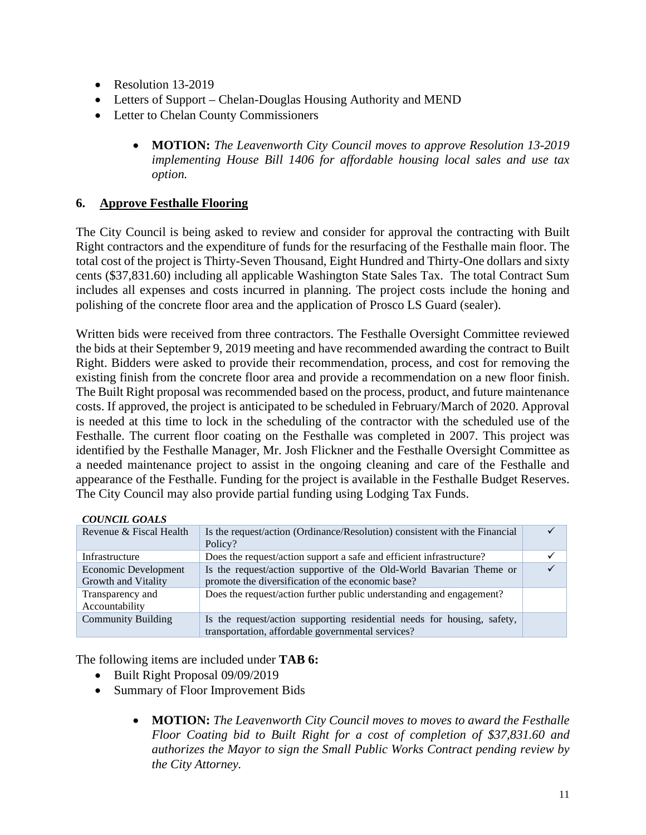- Resolution 13-2019
- Letters of Support Chelan-Douglas Housing Authority and MEND
- Letter to Chelan County Commissioners
	- **MOTION:** *The Leavenworth City Council moves to approve Resolution 13-2019 implementing House Bill 1406 for affordable housing local sales and use tax option.*

## **6. Approve Festhalle Flooring**

The City Council is being asked to review and consider for approval the contracting with Built Right contractors and the expenditure of funds for the resurfacing of the Festhalle main floor. The total cost of the project is Thirty-Seven Thousand, Eight Hundred and Thirty-One dollars and sixty cents (\$37,831.60) including all applicable Washington State Sales Tax. The total Contract Sum includes all expenses and costs incurred in planning. The project costs include the honing and polishing of the concrete floor area and the application of Prosco LS Guard (sealer).

Written bids were received from three contractors. The Festhalle Oversight Committee reviewed the bids at their September 9, 2019 meeting and have recommended awarding the contract to Built Right. Bidders were asked to provide their recommendation, process, and cost for removing the existing finish from the concrete floor area and provide a recommendation on a new floor finish. The Built Right proposal was recommended based on the process, product, and future maintenance costs. If approved, the project is anticipated to be scheduled in February/March of 2020. Approval is needed at this time to lock in the scheduling of the contractor with the scheduled use of the Festhalle. The current floor coating on the Festhalle was completed in 2007. This project was identified by the Festhalle Manager, Mr. Josh Flickner and the Festhalle Oversight Committee as a needed maintenance project to assist in the ongoing cleaning and care of the Festhalle and appearance of the Festhalle. Funding for the project is available in the Festhalle Budget Reserves. The City Council may also provide partial funding using Lodging Tax Funds.

#### *COUNCIL GOALS*

| Revenue & Fiscal Health                     | Is the request/action (Ordinance/Resolution) consistent with the Financial<br>Policy?                                        |  |
|---------------------------------------------|------------------------------------------------------------------------------------------------------------------------------|--|
| Infrastructure                              | Does the request/action support a safe and efficient infrastructure?                                                         |  |
| Economic Development<br>Growth and Vitality | Is the request/action supportive of the Old-World Bavarian Theme or<br>promote the diversification of the economic base?     |  |
| Transparency and<br>Accountability          | Does the request/action further public understanding and engagement?                                                         |  |
| <b>Community Building</b>                   | Is the request/action supporting residential needs for housing, safety,<br>transportation, affordable governmental services? |  |

The following items are included under **TAB 6:**

- Built Right Proposal 09/09/2019
- Summary of Floor Improvement Bids
	- **MOTION:** *The Leavenworth City Council moves to moves to award the Festhalle Floor Coating bid to Built Right for a cost of completion of \$37,831.60 and authorizes the Mayor to sign the Small Public Works Contract pending review by the City Attorney.*